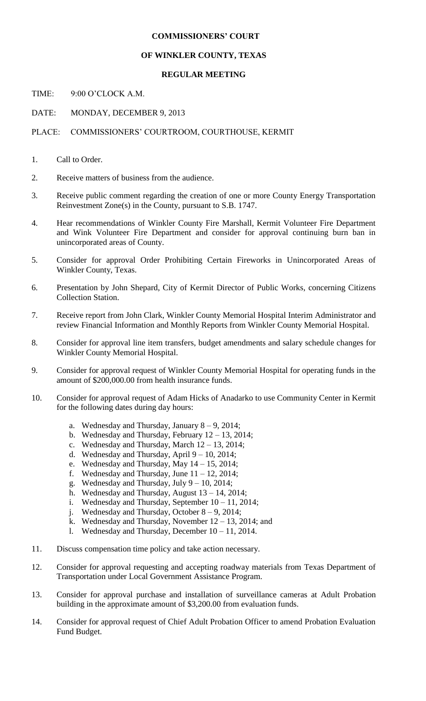# **COMMISSIONERS' COURT**

# **OF WINKLER COUNTY, TEXAS**

# **REGULAR MEETING**

TIME: 9:00 O'CLOCK A.M.

DATE: MONDAY, DECEMBER 9, 2013

# PLACE: COMMISSIONERS' COURTROOM, COURTHOUSE, KERMIT

- 1. Call to Order.
- 2. Receive matters of business from the audience.
- 3. Receive public comment regarding the creation of one or more County Energy Transportation Reinvestment Zone(s) in the County, pursuant to S.B. 1747.
- 4. Hear recommendations of Winkler County Fire Marshall, Kermit Volunteer Fire Department and Wink Volunteer Fire Department and consider for approval continuing burn ban in unincorporated areas of County.
- 5. Consider for approval Order Prohibiting Certain Fireworks in Unincorporated Areas of Winkler County, Texas.
- 6. Presentation by John Shepard, City of Kermit Director of Public Works, concerning Citizens Collection Station.
- 7. Receive report from John Clark, Winkler County Memorial Hospital Interim Administrator and review Financial Information and Monthly Reports from Winkler County Memorial Hospital.
- 8. Consider for approval line item transfers, budget amendments and salary schedule changes for Winkler County Memorial Hospital.
- 9. Consider for approval request of Winkler County Memorial Hospital for operating funds in the amount of \$200,000.00 from health insurance funds.
- 10. Consider for approval request of Adam Hicks of Anadarko to use Community Center in Kermit for the following dates during day hours:
	- a. Wednesday and Thursday, January 8 9, 2014;
	- b. Wednesday and Thursday, February 12 13, 2014;
	- c. Wednesday and Thursday, March 12 13, 2014;
	- d. Wednesday and Thursday, April 9 10, 2014;
	- e. Wednesday and Thursday, May 14 15, 2014;
	- f. Wednesday and Thursday, June  $11 12$ , 2014;
	- g. Wednesday and Thursday, July  $9 10$ , 2014;
	- h. Wednesday and Thursday, August 13 14, 2014;
	- i. Wednesday and Thursday, September  $10 11$ , 2014;
	- j. Wednesday and Thursday, October 8 9, 2014;
	- k. Wednesday and Thursday, November  $12 13$ , 2014; and
	- l. Wednesday and Thursday, December 10 11, 2014.
- 11. Discuss compensation time policy and take action necessary.
- 12. Consider for approval requesting and accepting roadway materials from Texas Department of Transportation under Local Government Assistance Program.
- 13. Consider for approval purchase and installation of surveillance cameras at Adult Probation building in the approximate amount of \$3,200.00 from evaluation funds.
- 14. Consider for approval request of Chief Adult Probation Officer to amend Probation Evaluation Fund Budget.